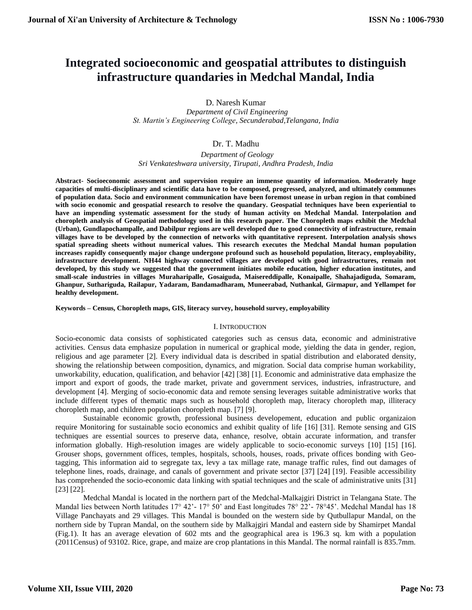# **Integrated socioeconomic and geospatial attributes to distinguish infrastructure quandaries in Medchal Mandal, India**

D. Naresh Kumar

 *Department of Civil Engineering St. Martin's Engineering College, Secunderabad,Telangana, India*

# Dr. T. Madhu

 *Department of Geology Sri Venkateshwara university, Tirupati, Andhra Pradesh, India*

**Abstract- Socioeconomic assessment and supervision require an immense quantity of information. Moderately huge capacities of multi-disciplinary and scientific data have to be composed, progressed, analyzed, and ultimately communes of population data. Socio and environment communication have been foremost unease in urban region in that combined with socio economic and geospatial research to resolve the quandary. Geospatial techniques have been experiential to have an impending systematic assessment for the study of human activity on Medchal Mandal. Interpolation and choropleth analysis of Geospatial methodology used in this research paper. The Choropleth maps exhibit the Medchal (Urban), Gundlapochampalle, and Dabilpur regions are well developed due to good connectivity of infrastructure, remain villages have to be developed by the connection of networks with quantitative represent. Interpolation analysis shows spatial spreading sheets without numerical values. This research executes the Medchal Mandal human population increases rapidly consequently major change undergone profound such as household population, literacy, employability, infrastructure development. NH44 highway connected villages are developed with good infrastructures, remain not developed, by this study we suggested that the government initiates mobile education, higher education institutes, and small-scale industries in villages Muraharipalle, Gosaiguda, Maisereddipalle, Konaipalle, Shahajadiguda, Somaram, Ghanpur, Suthariguda, Railapur, Yadaram, Bandamadharam, Muneerabad, Nuthankal, Girmapur, and Yellampet for healthy development.**

## **Keywords – Census, Choropleth maps, GIS, literacy survey, household survey, employability**

#### I. INTRODUCTION

Socio-economic data consists of sophisticated categories such as census data, economic and administrative activities. Census data emphasize population in numerical or graphical mode, yielding the data in gender, region, religious and age parameter [2]. Every individual data is described in spatial distribution and elaborated density, showing the relationship between composition, dynamics, and migration. Social data comprise human workability, unworkability, education, qualification, and behavior [42] [38] [1]. Economic and administrative data emphasize the import and export of goods, the trade market, private and government services, industries, infrastructure, and development [4]. Merging of socio-economic data and remote sensing leverages suitable administrative works that include different types of thematic maps such as household choropleth map, literacy choropleth map, illiteracy choropleth map, and children population choropleth map. [7] [9].

Sustainable economic growth, professional business developement, education and public organizaion require Monitoring for sustainable socio economics and exhibit quality of life [16] [31]. Remote sensing and GIS techniques are essential sources to preserve data, enhance, resolve, obtain accurate information, and transfer information globally. High-resolution images are widely applicable to socio-economic surveys [10] [15] [16]. Grouser shops, government offices, temples, hospitals, schools, houses, roads, private offices bonding with Geotagging, This information aid to segregate tax, levy a tax millage rate, manage traffic rules, find out damages of telephone lines, roads, drainage, and canals of government and private sector [37] [24] [19]. Feasible accessibility has comprehended the socio-economic data linking with spatial techniques and the scale of administrative units [31] [23] [22].

Medchal Mandal is located in the northern part of the Medchal-Malkajgiri District in Telangana State. The Mandal lies between North latitudes 17° 42'- 17° 50' and East longitudes 78° 22'- 78°45'. Medchal Mandal has 18 Village Panchayats and 29 villages. This Mandal is bounded on the western side by Qutbullapur Mandal, on the northern side by Tupran Mandal, on the southern side by Malkajgiri Mandal and eastern side by Shamirpet Mandal (Fig.1). It has an average elevation of 602 mts and the geographical area is 196.3 sq. km with a population (2011Census) of 93102. Rice, grape, and maize are crop plantations in this Mandal. The normal rainfall is 835.7mm.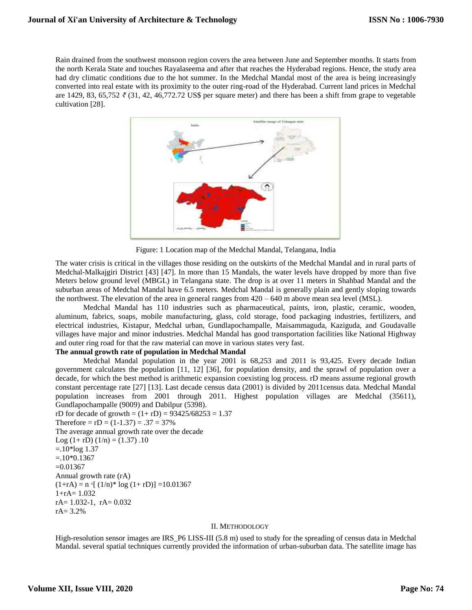Rain drained from the southwest monsoon region covers the area between June and September months. It starts from the north Kerala State and touches Rayalaseema and after that reaches the Hyderabad regions. Hence, the study area had dry climatic conditions due to the hot summer. In the Medchal Mandal most of the area is being increasingly converted into real estate with its proximity to the outer ring-road of the Hyderabad. Current land prices in Medchal are 1429, 83, 65,752 *₹* (31, 42, 46,772.72 US\$ per square meter) and there has been a shift from grape to vegetable cultivation [28].



Figure: 1 Location map of the Medchal Mandal, Telangana, India

The water crisis is critical in the villages those residing on the outskirts of the Medchal Mandal and in rural parts of Medchal-Malkajgiri District [43] [47]. In more than 15 Mandals, the water levels have dropped by more than five Meters below ground level (MBGL) in Telangana state. The drop is at over 11 meters in Shahbad Mandal and the suburban areas of Medchal Mandal have 6.5 meters. Medchal Mandal is generally plain and gently sloping towards the northwest. The elevation of the area in general ranges from  $420 - 640$  m above mean sea level (MSL).

Medchal Mandal has 110 industries such as pharmaceutical, paints, iron, plastic, ceramic, wooden, aluminum, fabrics, soaps, mobile manufacturing, glass, cold storage, food packaging industries, fertilizers, and electrical industries, Kistapur, Medchal urban, Gundlapochampalle, Maisammaguda, Kaziguda, and Goudavalle villages have major and minor industries. Medchal Mandal has good transportation facilities like National Highway and outer ring road for that the raw material can move in various states very fast.

# **The annual growth rate of population in Medchal Mandal**

Medchal Mandal population in the year 2001 is 68,253 and 2011 is 93,425. Every decade Indian government calculates the population [11, 12] [36], for population density, and the sprawl of population over a decade, for which the best method is arithmetic expansion coexisting log process. rD means assume regional growth constant percentage rate [27] [13]. Last decade census data (2001) is divided by 2011census data. Medchal Mandal population increases from 2001 through 2011. Highest population villages are Medchal (35611), Gundlapochampalle (9009) and Dabilpur (5398). rD for decade of growth =  $(1 + rD) = 93425/68253 = 1.37$ 

Therefore =  $rD = (1-1.37) = .37 = 37\%$ The average annual growth rate over the decade Log  $(1 + rD) (1/n) = (1.37) .10$  $=.10*log 1.37$  $=.10*0.1367$  $=0.01367$ Annual growth rate (rA)  $(1+rA) = n \{ (1/n)^* \log (1+rD) \} = 10.01367$  $1+rA=1.032$  $rA= 1.032-1$ ,  $rA= 0.032$ rA= 3.2%

## II. METHODOLOGY

High-resolution sensor images are IRS\_P6 LISS-III (5.8 m) used to study for the spreading of census data in Medchal Mandal. several spatial techniques currently provided the information of urban-suburban data. The satellite image has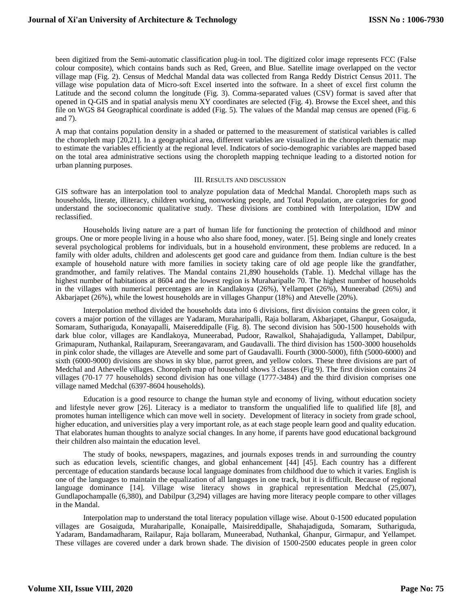been digitized from the Semi-automatic classification plug-in tool. The digitized color image represents FCC (False colour composite), which contains bands such as Red, Green, and Blue. Satellite image overlapped on the vector village map (Fig. 2). Census of Medchal Mandal data was collected from Ranga Reddy District Census 2011. The village wise population data of Micro-soft Excel inserted into the software. In a sheet of excel first column the Latitude and the second column the longitude (Fig. 3). Comma-separated values (CSV) format is saved after that opened in Q-GIS and in spatial analysis menu XY coordinates are selected (Fig. 4). Browse the Excel sheet, and this file on WGS 84 Geographical coordinate is added (Fig. 5). The values of the Mandal map census are opened (Fig. 6 and 7).

A map that contains population density in a shaded or patterned to the measurement of statistical variables is called the choropleth map [20,21]. In a geographical area, different variables are visualized in the choropleth thematic map to estimate the variables efficiently at the regional level. Indicators of socio-demographic variables are mapped based on the total area administrative sections using the choropleth mapping technique leading to a distorted notion for urban planning purposes.

#### III. RESULTS AND DISCUSSION

GIS software has an interpolation tool to analyze population data of Medchal Mandal. Choropleth maps such as households, literate, illiteracy, children working, nonworking people, and Total Population, are categories for good understand the socioeconomic qualitative study. These divisions are combined with Interpolation, IDW and reclassified.

Households living nature are a part of human life for functioning the protection of childhood and minor groups. One or more people living in a house who also share food, money, water. [5]. Being single and lonely creates several psychological problems for individuals, but in a household environment, these problems are reduced. In a family with older adults, children and adolescents get good care and guidance from them. Indian culture is the best example of household nature with more families in society taking care of old age people like the grandfather, grandmother, and family relatives. The Mandal contains 21,890 households (Table. 1). Medchal village has the highest number of habitations at 8604 and the lowest region is Muraharipalle 70. The highest number of households in the villages with numerical percentages are in Kandlakoya (26%), Yellampet (26%), Muneerabad (26%) and Akbarjapet (26%), while the lowest households are in villages Ghanpur (18%) and Atevelle (20%).

Interpolation method divided the households data into 6 divisions, first division contains the green color, it covers a major portion of the villages are Yadaram, Muraharipalli, Raja bollaram, Akbarjapet, Ghanpur, Gosaiguda, Somaram, Suthariguda, Konayapalli, Maisereddipalle (Fig. 8). The second division has 500-1500 households with dark blue color, villages are Kandlakoya, Muneerabad, Pudoor, Rawalkol, Shahajadiguda, Yallampet, Dabilpur, Grimapuram, Nuthankal, Railapuram, Sreerangavaram, and Gaudavalli. The third division has 1500-3000 households in pink color shade, the villages are Atevelle and some part of Gaudavalli. Fourth (3000-5000), fifth (5000-6000) and sixth (6000-9000) divisions are shows in sky blue, parrot green, and yellow colors. These three divisions are part of Medchal and Athevelle villages. Choropleth map of household shows 3 classes (Fig 9). The first division contains 24 villages (70-17 77 households) second division has one village (1777-3484) and the third division comprises one village named Medchal (6397-8604 households).

Education is a good resource to change the human style and economy of living, without education society and lifestyle never grow [26]. Literacy is a mediator to transform the unqualified life to qualified life [8], and promotes human intelligence which can move well in society. Development of literacy in society from grade school, higher education, and universities play a very important role, as at each stage people learn good and quality education. That elaborates human thoughts to analyze social changes. In any home, if parents have good educational background their children also maintain the education level.

The study of books, newspapers, magazines, and journals exposes trends in and surrounding the country such as education levels, scientific changes, and global enhancement [44] [45]. Each country has a different percentage of education standards because local language dominates from childhood due to which it varies. English is one of the languages to maintain the equalization of all languages in one track, but it is difficult. Because of regional language dominance [14]. Village wise literacy shows in graphical representation Medchal (25,007), Gundlapochampalle (6,380), and Dabilpur (3,294) villages are having more literacy people compare to other villages in the Mandal.

Interpolation map to understand the total literacy population village wise. About 0-1500 educated population villages are Gosaiguda, Muraharipalle, Konaipalle, Maisireddipalle, Shahajadiguda, Somaram, Suthariguda, Yadaram, Bandamadharam, Railapur, Raja bollaram, Muneerabad, Nuthankal, Ghanpur, Girmapur, and Yellampet. These villages are covered under a dark brown shade. The division of 1500-2500 educates people in green color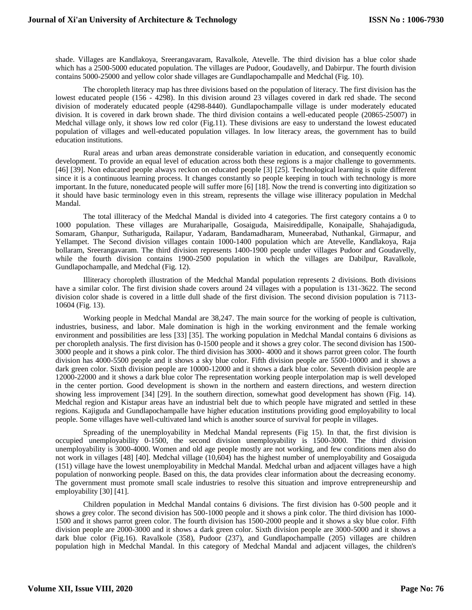shade. Villages are Kandlakoya, Sreerangavaram, Ravalkole, Atevelle. The third division has a blue color shade which has a 2500-5000 educated population. The villages are Pudoor, Goudavelly, and Dabirpur. The fourth division contains 5000-25000 and yellow color shade villages are Gundlapochampalle and Medchal (Fig. 10).

The choropleth literacy map has three divisions based on the population of literacy. The first division has the lowest educated people (156 - 4298). In this division around 23 villages covered in dark red shade. The second division of moderately educated people (4298-8440). Gundlapochampalle village is under moderately educated division. It is covered in dark brown shade. The third division contains a well-educated people (20865-25007) in Medchal village only, it shows low red color (Fig.11). These divisions are easy to understand the lowest educated population of villages and well-educated population villages. In low literacy areas, the government has to build education institutions.

Rural areas and urban areas demonstrate considerable variation in education, and consequently economic development. To provide an equal level of education across both these regions is a major challenge to governments. [46] [39]. Non educated people always reckon on educated people [3] [25]. Technological learning is quite different since it is a continuous learning process. It changes constantly so people keeping in touch with technology is more important. In the future, noneducated people will suffer more [6] [18]. Now the trend is converting into digitization so it should have basic terminology even in this stream, represents the village wise illiteracy population in Medchal Mandal.

The total illiteracy of the Medchal Mandal is divided into 4 categories. The first category contains a 0 to 1000 population. These villages are Muraharipalle, Gosaiguda, Maisireddipalle, Konaipalle, Shahajadiguda, Somaram, Ghanpur, Suthariguda, Railapur, Yadaram, Bandamadharam, Muneerabad, Nuthankal, Girmapur, and Yellampet. The Second division villages contain 1000-1400 population which are Atevelle, Kandlakoya, Raja bollaram, Sreerangavaram. The third division represents 1400-1900 people under villages Pudoor and Goudavelly, while the fourth division contains 1900-2500 population in which the villages are Dabilpur, Ravalkole, Gundlapochampalle, and Medchal (Fig. 12).

Illiteracy choropleth illustration of the Medchal Mandal population represents 2 divisions. Both divisions have a similar color. The first division shade covers around 24 villages with a population is 131-3622. The second division color shade is covered in a little dull shade of the first division. The second division population is 7113- 10604 (Fig. 13).

Working people in Medchal Mandal are 38,247. The main source for the working of people is cultivation, industries, business, and labor. Male domination is high in the working environment and the female working environment and possibilities are less [33] [35]. The working population in Medchal Mandal contains 6 divisions as per choropleth analysis. The first division has 0-1500 people and it shows a grey color. The second division has 1500- 3000 people and it shows a pink color. The third division has 3000- 4000 and it shows parrot green color. The fourth division has 4000-5500 people and it shows a sky blue color. Fifth division people are 5500-10000 and it shows a dark green color. Sixth division people are 10000-12000 and it shows a dark blue color. Seventh division people are 12000-22000 and it shows a dark blue color The representation working people interpolation map is well developed in the center portion. Good development is shown in the northern and eastern directions, and western direction showing less improvement [34] [29]. In the southern direction, somewhat good development has shown (Fig. 14). Medchal region and Kistapur areas have an industrial belt due to which people have migrated and settled in these regions. Kajiguda and Gundlapochampalle have higher education institutions providing good employability to local people. Some villages have well-cultivated land which is another source of survival for people in villages.

Spreading of the unemployability in Medchal Mandal represents (Fig 15). In that, the first division is occupied unemployability 0-1500, the second division unemployability is 1500-3000. The third division unemployability is 3000-4000. Women and old age people mostly are not working, and few conditions men also do not work in villages [48] [40]. Medchal village (10,604) has the highest number of unemployability and Gosaiguda (151) village have the lowest unemployability in Medchal Mandal. Medchal urban and adjacent villages have a high population of nonworking people. Based on this, the data provides clear information about the decreasing economy. The government must promote small scale industries to resolve this situation and improve entrepreneurship and employability [30] [41].

Children population in Medchal Mandal contains 6 divisions. The first division has 0-500 people and it shows a grey color. The second division has 500-1000 people and it shows a pink color. The third division has 1000- 1500 and it shows parrot green color. The fourth division has 1500-2000 people and it shows a sky blue color. Fifth division people are 2000-3000 and it shows a dark green color. Sixth division people are 3000-5000 and it shows a dark blue color (Fig.16). Ravalkole (358), Pudoor (237), and Gundlapochampalle (205) villages are children population high in Medchal Mandal. In this category of Medchal Mandal and adjacent villages, the children's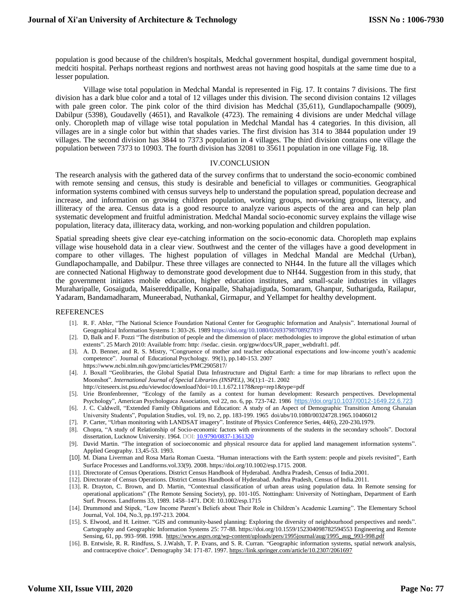population is good because of the children's hospitals, Medchal government hospital, dundigal government hospital, medciti hospital. Perhaps northeast regions and northwest areas not having good hospitals at the same time due to a lesser population.

Village wise total population in Medchal Mandal is represented in Fig. 17. It contains 7 divisions. The first division has a dark blue color and a total of 12 villages under this division. The second division contains 12 villages with pale green color. The pink color of the third division has Medchal (35,611), Gundlapochampalle (9009), Dabilpur (5398), Goudavelly (4651), and Ravalkole (4723). The remaining 4 divisions are under Medchal village only. Choropleth map of village wise total population in Medchal Mandal has 4 categories. In this division, all villages are in a single color but within that shades varies. The first division has 314 to 3844 population under 19 villages. The second division has 3844 to 7373 population in 4 villages. The third division contains one village the population between 7373 to 10903. The fourth division has 32081 to 35611 population in one village Fig. 18.

## IV.CONCLUSION

The research analysis with the gathered data of the survey confirms that to understand the socio-economic combined with remote sensing and census, this study is desirable and beneficial to villages or communities. Geographical information systems combined with census surveys help to understand the population spread, population decrease and increase, and information on growing children population, working groups, non-working groups, literacy, and illiteracy of the area. Census data is a good resource to analyze various aspects of the area and can help plan systematic development and fruitful administration. Medchal Mandal socio-economic survey explains the village wise population, literacy data, illiteracy data, working, and non-working population and children population.

Spatial spreading sheets give clear eye-catching information on the socio-economic data. Choropleth map explains village wise household data in a clear view. Southwest and the center of the villages have a good development in compare to other villages. The highest population of villages in Medchal Mandal are Medchal (Urban), Gundlapochampalle, and Dabilpur. These three villages are connected to NH44. In the future all the villages which are connected National Highway to demonstrate good development due to NH44. Suggestion from in this study, that the government initiates mobile education, higher education institutes, and small-scale industries in villages Muraharipalle, Gosaiguda, Maisereddipalle, Konaipalle, Shahajadiguda, Somaram, Ghanpur, Suthariguda, Railapur, Yadaram, Bandamadharam, Muneerabad, Nuthankal, Girmapur, and Yellampet for healthy development.

### REFERENCES

- [1]. R. F. Abler, "The National Science Foundation National Center for Geographic Information and Analysis". International Journal of Geographical Information Systems 1: 303-26. 1989 <https://doi.org/10.1080/02693798708927819>
- [2]. D, Balk and F. Pozzi "The distribution of people and the dimension of place: methodologies to improve the global estimation of urban extents". 25 March 2010: Available from: http: //sedac. ciesin. org/gpw/docs/UR\_paper\_webdraft1. pdf.
- [3]. A. D. Benner, and R. S. Mistry, "Congruence of mother and teacher educational expectations and low-income youth's academic competence". Journal of Educational Psychology. 99(1), pp.140-153. 2007 https://www.ncbi.nlm.nih.gov/pmc/articles/PMC2905817/
- [4]. J. Boxall "Geolibraries, the Global Spatial Data Infrastructure and Digital Earth: a time for map librarians to reflect upon the Moonshot". *International Journal of Special Libraries (INSPEL)*, 36(1):1–21. 2002
- http://citeseerx.ist.psu.edu/viewdoc/download?doi=10.1.1.672.1178&rep=rep1&type=pdf
- [5]. Urie Bronfenbrenner, "Ecology of the family as a context for human development: Research perspectives. Developmental Psychology", American Psychologuca Association, vol 22, no. 6, pp. 723-742. 1986 [https://doi.org/10.1037/0012-1649.22.6.723](https://doi.apa.org/doi/10.1037/0012-1649.22.6.723)
- [6]. J. C. Caldwell, "Extended Family Obligations and Education: A study of an Aspect of Demographic Transition Among Ghanaian University Students", Population Studies, vol. 19, no. 2, pp. 183-199. 1965 doi/abs/10.1080/00324728.1965.10406012
- [7]. P. Carter, "Urban monitoring with LANDSAT imagery". Institute of Physics Conference Series, 44(6), 220-230*.*1979.
- [8]. Chopra, "A study of Relationship of Socio-economic factors with environments of the students in the secondary schools". Doctoral dissertation, Lucknow University. 1964. DOI: [10.9790/0837-1361320](https://www.researchgate.net/deref/http%3A%2F%2Fdx.doi.org%2F10.9790%2F0837-1361320)
- [9]. David Martin. "The integration of socioeconomic and physical resource data for applied land management information systems". Applied Geography. 13,45-53. 1993.
- [10]. M. Diana Liverman and Rosa Maria Roman Cuesta. "Human interactions with the Earth system: people and pixels revisited", Earth Surface Processes and Landforms.vol.33(9). 2008. <https://doi.org/10.1002/esp.1715>. 2008.
- [11]. Directorate of Census Operations. District Census Handbook of Hyderabad. Andhra Pradesh, Census of India.2001.
- [12]. Directorate of Census Operations. District Census Handbook of Hyderabad. Andhra Pradesh, Census of India.2011.
- [13]. R. Drayton, C. Brown, and D. Martin, "Contextual classification of urban areas using population data. In Remote sensing for operational applications" (The Remote Sensing Society), pp. 101-105. Nottingham: University of Nottingham, Department of Earth Surf. Process. Landforms 33, 1989. 1458–1471. DOI: 10.1002/esp.1715
- [14]. Drummond and Stipek, "Low Income Parent's Beliefs about Their Role in Children's Academic Learning". The Elementary School Journal, Vol. 104, No.3, pp.197-213. 2004.
- [15]. S. Elwood, and H. Leitner. "GIS and community-based planning: Exploring the diversity of neighbourhood perspectives and needs". Cartography and Geographic Information Systems 25: 77-88.<https://doi.org/10.1559/152304098782594553> Engineering and Remote Sensing, 61, pp. 993–998. 1998. [https://www.asprs.org/wp-content/uploads/pers/1995journal/aug/1995\\_aug\\_993-998.pdf](https://www.asprs.org/wp-content/uploads/pers/1995journal/aug/1995_aug_993-998.pdf)
- [16]. B. Entwisle, R. R. Rindfuss, S. J.Walsh, T. P. Evans, and S. R. Curran. "Geographic information systems, spatial network analysis, and contraceptive choice". Demography 34: 171-87. 1997. <https://link.springer.com/article/10.2307/2061697>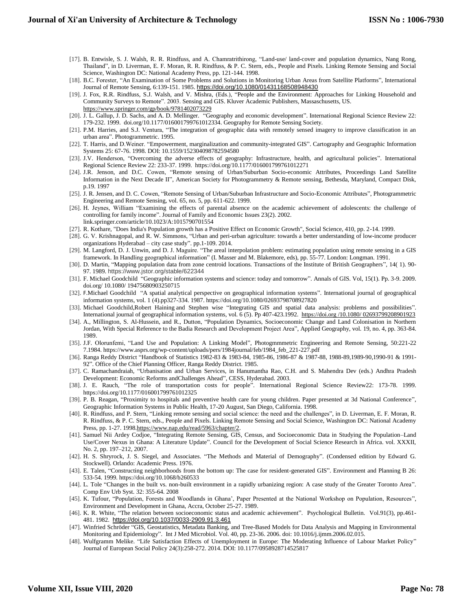- [17]. B. Entwisle, S. J. Walsh, R. R. Rindfuss, and A. Chamratrithirong, "Land-use/ land-cover and population dynamics, Nang Rong, Thailand", in D. Liverman, E. F. Moran, R. R. Rindfuss, & P. C. Stern, eds., People and Pixels. Linking Remote Sensing and Social Science, Washington DC: National Academy Press, pp. 121-144. 1998.
- [18]. B.C. Forester, "An Examination of Some Problems and Solutions in Monitoring Urban Areas from Satellite Platforms", International Journal of Remote Sensing, 6:139-151. 1985. <https://doi.org/10.1080/01431168508948430>
- [19]. J. Fox, R.R. Rindfuss, S.J. Walsh, and V. Mishra, (Eds.), "People and the Environment: Approaches for Linking Household and Community Surveys to Remote". 2003. Sensing and GIS. Kluver Academic Publishers, Massaschusetts, US. <https://www.springer.com/gp/book/9781402073229>
- [20]. J. L. Gallup, J. D. Sachs, and A. D. Mellinger. "Geography and economic development". International Regional Science Review 22: 179-232. 1999. [doi.org/10.1177/016001799761012334.](https://doi.org/10.1177%2F016001799761012334) Geography for Remote Sensing Society.
- [21]. P.M. Harries, and S.J. Ventura, "The integration of geographic data with remotely sensed imagery to improve classification in an urban area". Photogrammetric. 1995.
- [22]. T. Harris, and D.Weiner. "Empowerment, marginalization and community-integrated GIS". Cartography and Geographic Information Systems 25: 67-76. 1998. DOI: 10.1559/152304098782594580
- [23]. J.V. Henderson, "Overcoming the adverse effects of geography: Infrastructure, health, and agricultural policies". International Regional Science Review 22: 233-37. 1999. [https://doi.org/10.1177/016001799761012271](https://doi.org/10.1177%2F016001799761012271)
- [24]. J.R. Jenson, and D.C. Cowen, "Remote sensing of Urban/Suburban Socio-economic Attributes, Proceedings Land Satellite Information in the Next Decade II", American Society for Photogrammetry & Remote sensing, Bethesda, Maryland, Compact Disk, p.19. 1997
- [25]. J. R. Jensen, and D. C. Cowen, "Remote Sensing of Urban/Suburban Infrastructure and Socio-Economic Attributes", Photogrammetric Engineering and Remote Sensing, vol. 65, no. 5, pp. 611-622. 1999.
- [26]. H. Jeynes, William "Examining the effects of parental absence on the academic achievement of adolescents: the challenge of controlling for family income". Journal of Family and Economic Issues 23(2). 2002. link.springer.com/article/10.1023/A:1015790701554
- [27]. R. Kothare, "Does India's Population growth has a Positive Effect on Economic Growth", Social Science, 410, pp. 2-14. 1999.
- [28]. G. V. Krishnagopal, and R. W. Simmons, "Urban and peri-urban agriculture: towards a better understanding of low-income producer organizations Hyderabad – city case study". pp.1-109. 2014.
- [29]. M. Langford, D. J. Unwin, and D. J. Maguire. "The areal interpolation problem: estimating population using remote sensing in a GIS framework. In Handling geographical information" (I. Masser and M. Blakemore, eds), pp. 55-77. London: Longman. 1991.
- [30]. D. Martin, "Mapping population data from zone centroid locations. Transactions of the Institute of British Geographers", 14( 1). 90- 97. 1989. https://www.jstor.org/stable/622344
- [31]. F. Michael Goodchild "Geographic information systems and science: today and tomorrow". Annals of GIS. Vol, 15(1). Pp. 3-9. 2009. [doi.org/ 10.1080/ 19475680903250715](https://doi.org/10.1080/19475680903250715)
- [32]. F.[Michael Goodchild](https://www.tandfonline.com/author/GOODCHILD%2C+MICHAEL+F) "A spatial analytical perspective on geographical information systems". International journal of geographical information systems, vol. 1 (4).pp327-334. 1987. <https://doi.org/10.1080/02693798708927820>
- [33]. [Michael Goodchild,](https://www.tandfonline.com/author/GOODCHILD%2C+MICHAEL)[Robert Haining](https://www.tandfonline.com/author/HAINING%2C+ROBERT) and [Stephen wise "](https://www.tandfonline.com/author/WISE%2C+STEPHEN+And+Others)Integrating GIS and spatial data analysis: problems and possibilities". International journal of geographical information systems, vol. 6 (5). Pp 407-423.1992. https://doi.org /10.1080/ 02693799208901923
- [34]. A., Millington, S. Al-Hussein, and R., Dutton, "Population Dynamics, Socioeconomic Change and Land Colonisation in Northern Jordan, With Special Reference to the Badia Research and Development Project Area", Applied Geography, vol. 19, no. 4, pp. 363-84. 1989.
- [35]. J.F. Olorunfemi, "Land Use and Population: A Linking Model", Photogmmmetric Engineering and Remote Sensing, 50:221-22 7.1984. https://www.asprs.org/wp-content/uploads/pers/1984journal/feb/1984\_feb\_221-227.pdf
- [36]. Ranga Reddy District "Handbook of Statistics 1982-83 & 1983-84, 1985-86, 1986-87 & 1987-88, 1988-89,1989-90,1990-91 & 1991- 92". Office of the Chief Planning Officer, Ranga Reddy District. 1985.
- [37]. C. Ramachandraiah, "Urbanisation and Urban Services, in Hanumantha Rao, C.H. and S. Mahendra Dev (eds.) Andhra Pradesh Development: Economic Reforms andChallenges Ahead", CESS, Hyderabad. 2003.
- [38]. J. E. Rauch, "The role of transportation costs for people". International Regional Science Review22: 173-78. 1999. [https://doi.org/10.1177/016001799761012325](https://doi.org/10.1177%2F016001799761012325)
- [39]. P. B. Reagan, "Proximity to hospitals and preventive health care for young children. Paper presented at 3d National Conference", Geographic Information Systems in Public Health, 17-20 August, San Diego, California. 1998.
- [40]. R. Rindfuss, and P. Stern, "Linking remote sensing and social science: the need and the challenges", in D. Liverman, E. F. Moran, R. R. Rindfuss, & P. C. Stern, eds., People and Pixels. Linking Remote Sensing and Social Science, Washington DC: National Academy Press, pp. 1-27. 199[8.https://www.nap.edu/read/5963/chapter/2.](https://www.nap.edu/read/5963/chapter/2)
- [41]. Samuel Nii Ardey Codjoe, "Integrating Remote Sensing, GIS, Census, and Socioeconomic Data in Studying the Population–Land Use/Cover Nexus in Ghana: A Literature Update". Council for the Development of Social Science Research in Africa. vol. XXXII, No. 2, pp. 197–212, 2007.
- [42]. H. S. Shryrock, J. S. Siegel, and Associates. "The Methods and Material of Demography". (Condensed edition by Edward G. Stockwell). Orlando: Academic Press. 1976.
- [43]. E. Talen, "Constructing neighborhoods from the bottom up: The case for resident-generated GIS". Environment and Planning B 26: 533-54. 1999[. https://doi.org/10.1068/b260533](https://doi.org/10.1068%2Fb260533)
- [44]. L. Tole "Changes in the built vs. non-built environment in a rapidly urbanizing region: A case study of the Greater Toronto Area". Comp Env Urb Syst. 32: 355-64. 2008
- [45]. K. Tufour, "Population, Forests and Woodlands in Ghana', Paper Presented at the National Workshop on Population, Resources", Environment and Development in Ghana, Accra, October 25-27. 1989.
- [46]. K. R. White, "The relation between socioeconomic status and academic achievement". Psychological Bulletin. Vol.91(3), pp.461- 481. 1982. [https://doi.org/10.1037/0033-2909.91.3.461](https://psycnet.apa.org/doi/10.1037/0033-2909.91.3.461)
- [47]. [Winfried Schröder](https://pubmed.ncbi.nlm.nih.gov/?term=Schr%C3%B6der+W&cauthor_id=16600679) "GIS, Geostatistics, Metadata Banking, and Tree-Based Models for Data Analysis and Mapping in Environmental Monitoring and Epidemiology". Int J Med Microbiol. Vol. 40, pp. 23-36. 2006. doi: 10.1016/j.ijmm.2006.02.015.
- [48]. [Wulfgramm](https://www.researchgate.net/profile/Melike_Wulfgramm2) Melike. "Life Satisfaction Effects of Unemployment in Europe: The Moderating Influence of Labour Market Policy" [Journal of European Social Policy](https://www.researchgate.net/journal/0958-9287_Journal_of_European_Social_Policy) 24(3):258-272. 2014. DOI: 10.1177/0958928714525817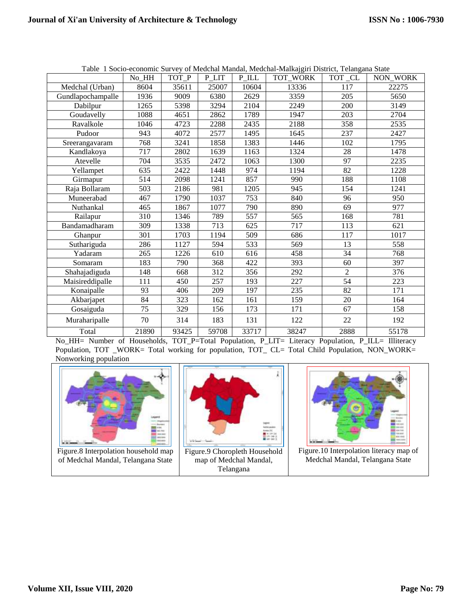|                   | No HH | TOT P | P LIT | $P_{\_}ILL$ | Taoic T Bocio economic Burvey of Medenar Mandar, Medenar Mandagari District, Telanguna Biate<br>TOT_WORK | TOT_CL         | <b>NON WORK</b> |
|-------------------|-------|-------|-------|-------------|----------------------------------------------------------------------------------------------------------|----------------|-----------------|
| Medchal (Urban)   | 8604  | 35611 | 25007 | 10604       | 13336                                                                                                    | 117            | 22275           |
| Gundlapochampalle | 1936  | 9009  | 6380  | 2629        | 3359                                                                                                     | 205            | 5650            |
| Dabilpur          | 1265  | 5398  | 3294  | 2104        | 2249                                                                                                     | 200            | 3149            |
| Goudavelly        | 1088  | 4651  | 2862  | 1789        | 1947                                                                                                     | 203            | 2704            |
| Ravalkole         | 1046  | 4723  | 2288  | 2435        | 2188                                                                                                     | 358            | 2535            |
| Pudoor            | 943   | 4072  | 2577  | 1495        | 1645                                                                                                     | 237            | 2427            |
| Sreerangavaram    | 768   | 3241  | 1858  | 1383        | 1446                                                                                                     | 102            | 1795            |
| Kandlakoya        | 717   | 2802  | 1639  | 1163        | 1324                                                                                                     | 28             | 1478            |
| Atevelle          | 704   | 3535  | 2472  | 1063        | 1300                                                                                                     | 97             | 2235            |
| Yellampet         | 635   | 2422  | 1448  | 974         | 1194                                                                                                     | 82             | 1228            |
| Girmapur          | 514   | 2098  | 1241  | 857         | 990                                                                                                      | 188            | 1108            |
| Raja Bollaram     | 503   | 2186  | 981   | 1205        | 945                                                                                                      | 154            | 1241            |
| Muneerabad        | 467   | 1790  | 1037  | 753         | 840                                                                                                      | 96             | 950             |
| Nuthankal         | 465   | 1867  | 1077  | 790         | 890                                                                                                      | 69             | 977             |
| Railapur          | 310   | 1346  | 789   | 557         | 565                                                                                                      | 168            | 781             |
| Bandamadharam     | 309   | 1338  | 713   | 625         | 717                                                                                                      | 113            | 621             |
| Ghanpur           | 301   | 1703  | 1194  | 509         | 686                                                                                                      | 117            | 1017            |
| Suthariguda       | 286   | 1127  | 594   | 533         | 569                                                                                                      | 13             | 558             |
| Yadaram           | 265   | 1226  | 610   | 616         | 458                                                                                                      | 34             | 768             |
| Somaram           | 183   | 790   | 368   | 422         | 393                                                                                                      | 60             | 397             |
| Shahajadiguda     | 148   | 668   | 312   | 356         | 292                                                                                                      | $\overline{2}$ | 376             |
| Maisireddipalle   | 111   | 450   | 257   | 193         | 227                                                                                                      | 54             | 223             |
| Konaipalle        | 93    | 406   | 209   | 197         | 235                                                                                                      | 82             | 171             |
| Akbarjapet        | 84    | 323   | 162   | 161         | 159                                                                                                      | 20             | 164             |
| Gosaiguda         | 75    | 329   | 156   | 173         | 171                                                                                                      | 67             | 158             |
| Muraharipalle     | 70    | 314   | 183   | 131         | 122                                                                                                      | 22             | 192             |
| Total             | 21890 | 93425 | 59708 | 33717       | 38247                                                                                                    | 2888           | 55178           |

Table 1 Socio-economic Survey of Medchal Mandal, Medchal-Malkajgiri District, Telangana State

No\_HH= Number of Households, TOT\_P=Total Population, P\_LIT= Literacy Population, P\_ILL= Illiteracy Population, TOT \_WORK= Total working for population, TOT\_ CL= Total Child Population, NON\_WORK= Nonworking population



Figure.8 Interpolation household map of Medchal Mandal, Telangana State



Figure.9 Choropleth Household map of Medchal Mandal, Telangana



Figure.10 Interpolation literacy map of Medchal Mandal, Telangana State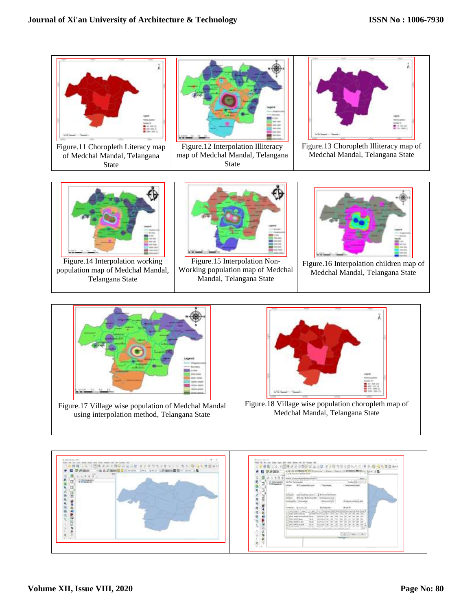

of Medchal Mandal, Telangana State



Figure.12 Interpolation Illiteracy map of Medchal Mandal, Telangana State



Figure.13 Choropleth Illiteracy map of Medchal Mandal, Telangana State



Figure.14 Interpolation working population map of Medchal Mandal, Telangana State



Figure.15 Interpolation Non-Working population map of Medchal Mandal, Telangana State



Figure.16 Interpolation children map of Medchal Mandal, Telangana State



Figure.17 Village wise population of Medchal Mandal using interpolation method, Telangana State



Figure.18 Village wise population choropleth map of Medchal Mandal, Telangana State